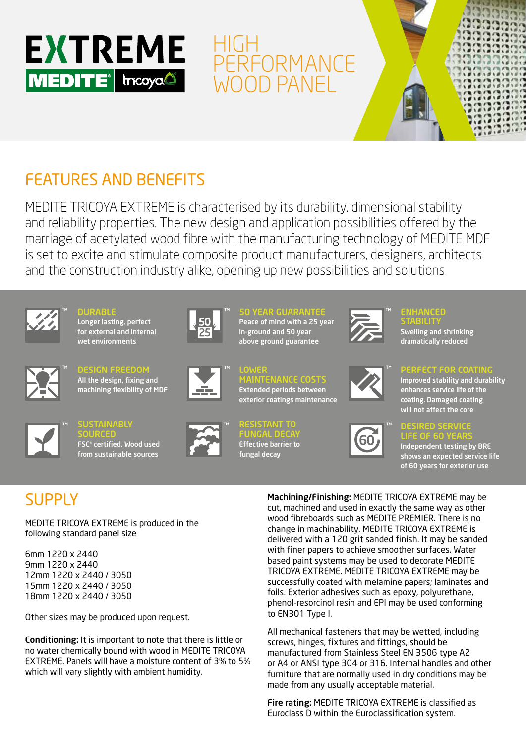

# HIGH **PERFORMANCE** WOOD PANEL



## FEATURES AND BENEFITS

MEDITE TRICOYA EXTREME is characterised by its durability, dimensional stability and reliability properties. The new design and application possibilities offered by the marriage of acetylated wood fibre with the manufacturing technology of MEDITE MDF is set to excite and stimulate composite product manufacturers, designers, architects and the construction industry alike, opening up new possibilities and solutions.

LOWER



DURABLE Longer lasting, perfect for external and internal wet environments



DESIGN FREEDOM All the design, fixing and machining flexibility of MDF



**SUSTAINABLY** SOURCED FSC® certified. Wood used from sustainable sources



```
SO CUADA
Peace of mind with a 25 year 
in-ground and 50 year 
above ground guarantee
```
MAINTENANCE COSTS Extended periods between exterior coatings maintenance

RESISTANT TO FUNGAL DECAY Effective barrier to fungal decay



## ENHANCED

**STABILITY** Swelling and shrinking dramatically reduced



### PERFECT FOR COATING

Improved stability and durability enhances service life of the coating. Damaged coating will not affect the core



#### DESIRED SERVICE LIFE OF 60 YEARS

Independent testing by BRE shows an expected service life of 60 years for exterior use

# **SUPPLY**

MEDITE TRICOYA EXTREME is produced in the following standard panel size

6mm 1220 x 2440 9mm 1220 x 2440 12mm 1220 x 2440 / 3050 15mm 1220 x 2440 / 3050 18mm 1220 x 2440 / 3050

Other sizes may be produced upon request.

Conditioning: It is important to note that there is little or no water chemically bound with wood in MEDITE TRICOYA EXTREME. Panels will have a moisture content of 3% to 5% which will vary slightly with ambient humidity.

Machining/Finishing: MEDITE TRICOYA EXTREME may be cut, machined and used in exactly the same way as other wood fibreboards such as MEDITE PREMIER. There is no change in machinability. MEDITE TRICOYA EXTREME is delivered with a 120 grit sanded finish. It may be sanded with finer papers to achieve smoother surfaces. Water based paint systems may be used to decorate MEDITE TRICOYA EXTREME. MEDITE TRICOYA EXTREME may be successfully coated with melamine papers; laminates and foils. Exterior adhesives such as epoxy, polyurethane, phenol-resorcinol resin and EPI may be used conforming to EN301 Type I.

All mechanical fasteners that may be wetted, including screws, hinges, fixtures and fittings, should be manufactured from Stainless Steel EN 3506 type A2 or A4 or ANSI type 304 or 316. Internal handles and other furniture that are normally used in dry conditions may be made from any usually acceptable material.

Fire rating: MEDITE TRICOYA EXTREME is classified as Euroclass D within the Euroclassification system.